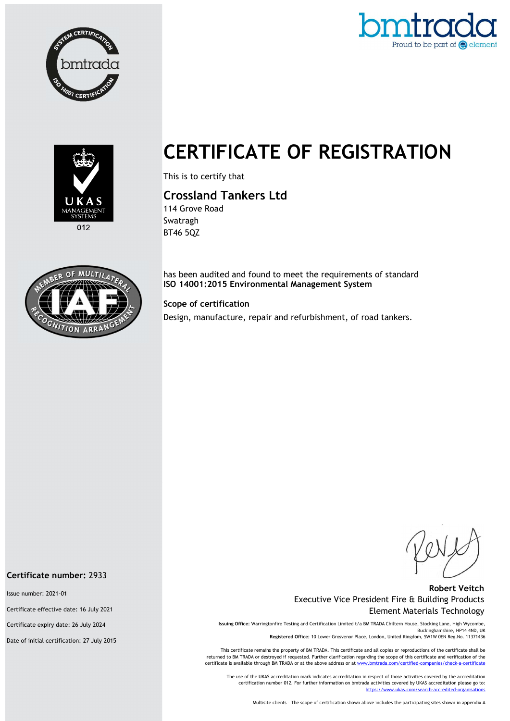





 $012$ 



# CERTIFICATE OF REGISTRATION

This is to certify that

Crossland Tankers Ltd

114 Grove Road Swatragh BT46 5QZ

has been audited and found to meet the requirements of standard ISO 14001:2015 Environmental Management System

### Scope of certification

Design, manufacture, repair and refurbishment, of road tankers.

#### Robert Veitch Executive Vice President Fire & Building Products Element Materials Technology

Issuing Office: Warringtonfire Testing and Certification Limited t/a BM TRADA Chiltern House, Stocking Lane, High Wycombe, Buckinghamshire, HP14 4ND, UK Registered Office: 10 Lower Grosvenor Place, London, United Kingdom, SW1W 0EN Reg.No. 11371436

This certificate remains the property of BM TRADA. This certificate and all copies or reproductions of the certificate shall be returned to BM TRADA or destroyed if requested. Further clarification regarding the scope of this certificate and verification of the certificate is available through BM TRADA or at the above address or at ww

The use of the UKAS accreditation mark indicates accreditation in respect of those activities covered by the accreditation certification number 012. For further information on bmtrada activities covered by UKAS accreditation please go to: https://www.ukas.com/search-accredited-organis

Multisite clients – The scope of certification shown above includes the participating sites shown in appendix A

#### Certificate number: 2933

Issue number: 2021-01

Certificate effective date: 16 July 2021

Certificate expiry date: 26 July 2024

Date of initial certification: 27 July 2015